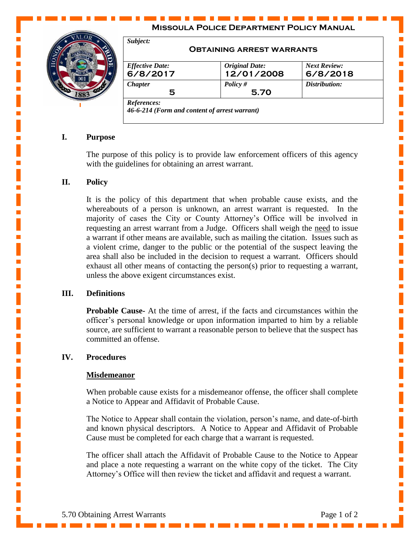# **Missoula Police Department Policy Manual**



|                        | <b>OBTAINING ARREST WARRANTS</b> |                     |
|------------------------|----------------------------------|---------------------|
| <b>Effective Date:</b> | <b>Original Date:</b>            | <b>Next Review:</b> |
| 6/8/2017               | 12/01/2008                       | 6/8/2018            |
| <b>Chapter</b>         | Policy $#$                       | Distribution:       |
| 5                      | 5.70                             |                     |

## **I. Purpose**

The purpose of this policy is to provide law enforcement officers of this agency with the guidelines for obtaining an arrest warrant.

# **II. Policy**

It is the policy of this department that when probable cause exists, and the whereabouts of a person is unknown, an arrest warrant is requested. In the majority of cases the City or County Attorney's Office will be involved in requesting an arrest warrant from a Judge. Officers shall weigh the need to issue a warrant if other means are available, such as mailing the citation. Issues such as a violent crime, danger to the public or the potential of the suspect leaving the area shall also be included in the decision to request a warrant. Officers should exhaust all other means of contacting the person(s) prior to requesting a warrant, unless the above exigent circumstances exist.

### **III. Definitions**

**Probable Cause-** At the time of arrest, if the facts and circumstances within the officer's personal knowledge or upon information imparted to him by a reliable source, are sufficient to warrant a reasonable person to believe that the suspect has committed an offense.

## **IV. Procedures**

#### **Misdemeanor**

When probable cause exists for a misdemeanor offense, the officer shall complete a Notice to Appear and Affidavit of Probable Cause.

The Notice to Appear shall contain the violation, person's name, and date-of-birth and known physical descriptors. A Notice to Appear and Affidavit of Probable Cause must be completed for each charge that a warrant is requested.

The officer shall attach the Affidavit of Probable Cause to the Notice to Appear and place a note requesting a warrant on the white copy of the ticket. The City Attorney's Office will then review the ticket and affidavit and request a warrant.

Ē,

Ē,

Ē,

I.

п

L.

Ē,

L.

L.

п

п